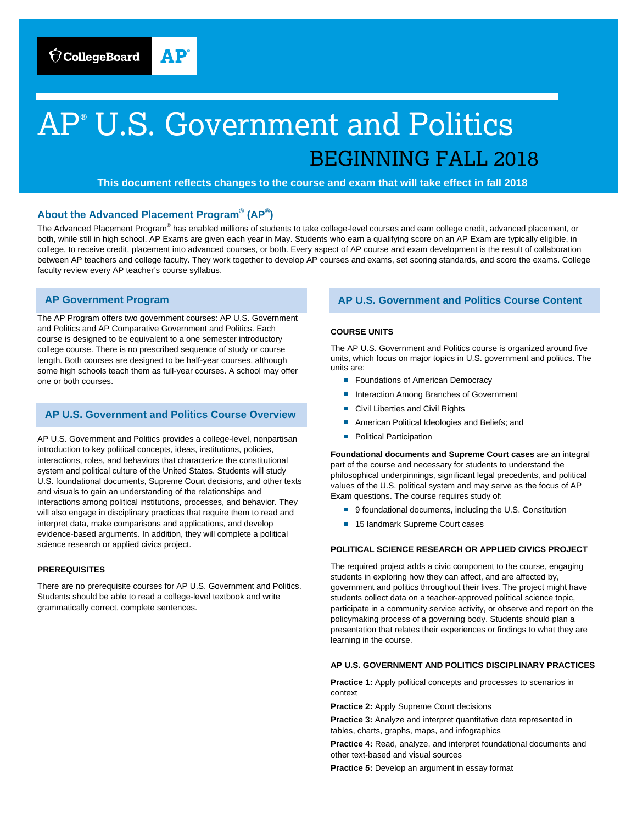# AP® U.S. Government and Politics<br>BEGINNING FALL 2018

 **This document reflects changes to the course and exam that will take effect in fall 2018** 

# **About the Advanced Placement Program® (AP® )**

The Advanced Placement Program® has enabled millions of students to take college-level courses and earn college credit, advanced placement, or both, while still in high school. AP Exams are given each year in May. Students who earn a qualifying score on an AP Exam are typically eligible, in college, to receive credit, placement into advanced courses, or both. Every aspect of AP course and exam development is the result of collaboration between AP teachers and college faculty. They work together to develop AP courses and exams, set scoring standards, and score the exams. College faculty review every AP teacher's course syllabus.

## **AP Government Program**

The AP Program offers two government courses: AP U.S. Government and Politics and AP Comparative Government and Politics. Each course is designed to be equivalent to a one semester introductory college course. There is no prescribed sequence of study or course length. Both courses are designed to be half-year courses, although some high schools teach them as full-year courses. A school may offer one or both courses.

# **AP U.S. Government and Politics Course Overview**

AP U.S. Government and Politics provides a college-level, nonpartisan introduction to key political concepts, ideas, institutions, policies, interactions, roles, and behaviors that characterize the constitutional system and political culture of the United States. Students will study U.S. foundational documents, Supreme Court decisions, and other texts and visuals to gain an understanding of the relationships and interactions among political institutions, processes, and behavior. They will also engage in disciplinary practices that require them to read and interpret data, make comparisons and applications, and develop evidence-based arguments. In addition, they will complete a political science research or applied civics project.

#### **PREREQUISITES**

There are no prerequisite courses for AP U.S. Government and Politics. Students should be able to read a college-level textbook and write grammatically correct, complete sentences.

# **AP U.S. Government and Politics Course Content**

#### **COURSE UNITS**

The AP U.S. Government and Politics course is organized around five units, which focus on major topics in U.S. government and politics. The units are:

- Foundations of American Democracy
- Interaction Among Branches of Government
- Civil Liberties and Civil Rights
- American Political Ideologies and Beliefs; and
- Political Participation

**Foundational documents and Supreme Court cases** are an integral part of the course and necessary for students to understand the philosophical underpinnings, significant legal precedents, and political values of the U.S. political system and may serve as the focus of AP Exam questions. The course requires study of:

- 9 foundational documents, including the U.S. Constitution
- 15 landmark Supreme Court cases

#### **POLITICAL SCIENCE RESEARCH OR APPLIED CIVICS PROJECT**

The required project adds a civic component to the course, engaging students in exploring how they can affect, and are affected by, government and politics throughout their lives. The project might have students collect data on a teacher-approved political science topic, participate in a community service activity, or observe and report on the policymaking process of a governing body. Students should plan a presentation that relates their experiences or findings to what they are learning in the course.

#### **AP U.S. GOVERNMENT AND POLITICS DISCIPLINARY PRACTICES**

**Practice 1:** Apply political concepts and processes to scenarios in context

**Practice 2:** Apply Supreme Court decisions

**Practice 3:** Analyze and interpret quantitative data represented in tables, charts, graphs, maps, and infographics

**Practice 4:** Read, analyze, and interpret foundational documents and other text-based and visual sources

**Practice 5:** Develop an argument in essay format